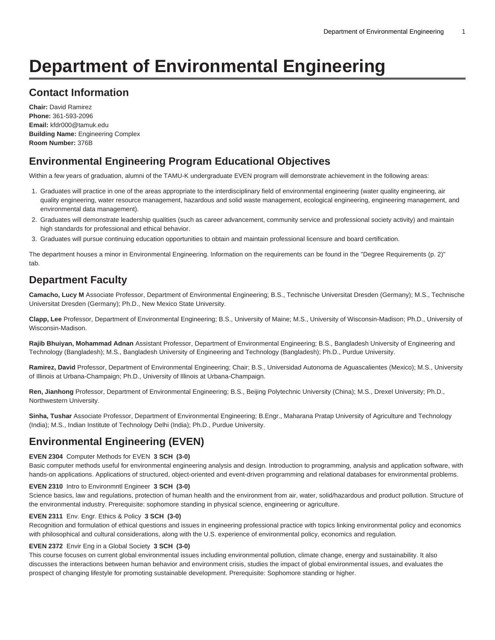# **Department of Environmental Engineering**

### **Contact Information**

**Chair:** David Ramirez **Phone:** 361-593-2096 **Email:** [kfdr000@tamuk.edu](mailto:kfdr000@tamuk.edu) **Building Name:** Engineering Complex **Room Number:** 376B

### **Environmental Engineering Program Educational Objectives**

Within a few years of graduation, alumni of the TAMU-K undergraduate EVEN program will demonstrate achievement in the following areas:

- 1. Graduates will practice in one of the areas appropriate to the interdisciplinary field of environmental engineering (water quality engineering, air quality engineering, water resource management, hazardous and solid waste management, ecological engineering, engineering management, and environmental data management).
- 2. Graduates will demonstrate leadership qualities (such as career advancement, community service and professional society activity) and maintain high standards for professional and ethical behavior.
- 3. Graduates will pursue continuing education opportunities to obtain and maintain professional licensure and board certification.

The department houses a minor in Environmental Engineering. Information on the requirements can be found in the ["Degree Requirements \(p. 2\)](#page-1-0)" tab.

## **Department Faculty**

**Camacho, Lucy M** Associate Professor, Department of Environmental Engineering; B.S., Technische Universitat Dresden (Germany); M.S., Technische Universitat Dresden (Germany); Ph.D., New Mexico State University.

**Clapp, Lee** Professor, Department of Environmental Engineering; B.S., University of Maine; M.S., University of Wisconsin-Madison; Ph.D., University of Wisconsin-Madison.

**Rajib Bhuiyan, Mohammad Adnan** Assistant Professor, Department of Environmental Engineering; B.S., Bangladesh University of Engineering and Technology (Bangladesh); M.S., Bangladesh University of Engineering and Technology (Bangladesh); Ph.D., Purdue University.

**Ramirez, David** Professor, Department of Environmental Engineering; Chair; B.S., Universidad Autonoma de Aguascalientes (Mexico); M.S., University of Illinois at Urbana-Champaign; Ph.D., University of Illinois at Urbana-Champaign.

**Ren, Jianhong** Professor, Department of Environmental Engineering; B.S., Beijing Polytechnic University (China); M.S., Drexel University; Ph.D., Northwestern University.

**Sinha, Tushar** Associate Professor, Department of Environmental Engineering; B.Engr., Maharana Pratap University of Agriculture and Technology (India); M.S., Indian Institute of Technology Delhi (India); Ph.D., Purdue University.

### **Environmental Engineering (EVEN)**

#### **EVEN 2304** Computer Methods for EVEN **3 SCH (3-0)**

Basic computer methods useful for environmental engineering analysis and design. Introduction to programming, analysis and application software, with hands-on applications. Applications of structured, object-oriented and event-driven programming and relational databases for environmental problems.

#### **EVEN 2310** Intro to Environmntl Engineer **3 SCH (3-0)**

Science basics, law and regulations, protection of human health and the environment from air, water, solid/hazardous and product pollution. Structure of the environmental industry. Prerequisite: sophomore standing in physical science, engineering or agriculture.

#### **EVEN 2311** Env. Engr. Ethics & Policy **3 SCH (3-0)**

Recognition and formulation of ethical questions and issues in engineering professional practice with topics linking environmental policy and economics with philosophical and cultural considerations, along with the U.S. experience of environmental policy, economics and regulation.

#### **EVEN 2372** Envir Eng in a Global Society **3 SCH (3-0)**

This course focuses on current global environmental issues including environmental pollution, climate change, energy and sustainability. It also discusses the interactions between human behavior and environment crisis, studies the impact of global environmental issues, and evaluates the prospect of changing lifestyle for promoting sustainable development. Prerequisite: Sophomore standing or higher.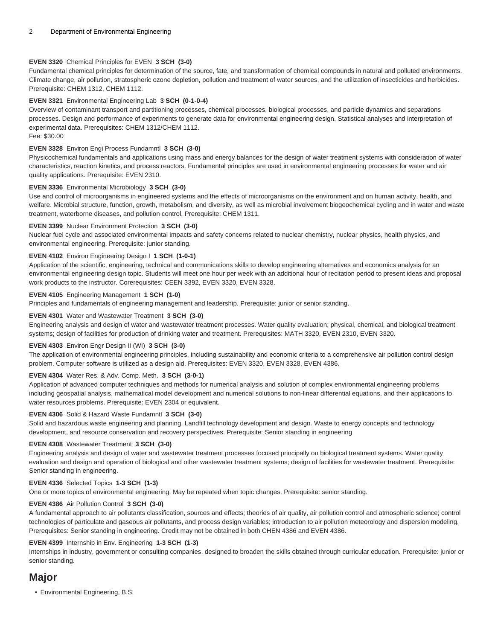#### **EVEN 3320** Chemical Principles for EVEN **3 SCH (3-0)**

Fundamental chemical principles for determination of the source, fate, and transformation of chemical compounds in natural and polluted environments. Climate change, air pollution, stratospheric ozone depletion, pollution and treatment of water sources, and the utilization of insecticides and herbicides. Prerequisite: CHEM 1312, CHEM 1112.

#### **EVEN 3321** Environmental Engineering Lab **3 SCH (0-1-0-4)**

Overview of contaminant transport and partitioning processes, chemical processes, biological processes, and particle dynamics and separations processes. Design and performance of experiments to generate data for environmental engineering design. Statistical analyses and interpretation of experimental data. Prerequisites: CHEM 1312/CHEM 1112. Fee: \$30.00

#### **EVEN 3328** Environ Engi Process Fundamntl **3 SCH (3-0)**

Physicochemical fundamentals and applications using mass and energy balances for the design of water treatment systems with consideration of water characteristics, reaction kinetics, and process reactors. Fundamental principles are used in environmental engineering processes for water and air quality applications. Prerequisite: EVEN 2310.

#### **EVEN 3336** Environmental Microbiology **3 SCH (3-0)**

Use and control of microorganisms in engineered systems and the effects of microorganisms on the environment and on human activity, health, and welfare. Microbial structure, function, growth, metabolism, and diversity, as well as microbial involvement biogeochemical cycling and in water and waste treatment, waterborne diseases, and pollution control. Prerequisite: CHEM 1311.

#### **EVEN 3399** Nuclear Environment Protection **3 SCH (3-0)**

Nuclear fuel cycle and associated environmental impacts and safety concerns related to nuclear chemistry, nuclear physics, health physics, and environmental engineering. Prerequisite: junior standing.

#### **EVEN 4102** Environ Engineering Design I **1 SCH (1-0-1)**

Application of the scientific, engineering, technical and communications skills to develop engineering alternatives and economics analysis for an environmental engineering design topic. Students will meet one hour per week with an additional hour of recitation period to present ideas and proposal work products to the instructor. Corerequisites: CEEN 3392, EVEN 3320, EVEN 3328.

#### **EVEN 4105** Engineering Management **1 SCH (1-0)**

Principles and fundamentals of engineering management and leadership. Prerequisite: junior or senior standing.

#### **EVEN 4301** Water and Wastewater Treatment **3 SCH (3-0)**

Engineering analysis and design of water and wastewater treatment processes. Water quality evaluation; physical, chemical, and biological treatment systems; design of facilities for production of drinking water and treatment. Prerequisites: MATH 3320, EVEN 2310, EVEN 3320.

#### **EVEN 4303** Environ Engr Design II (WI) **3 SCH (3-0)**

The application of environmental engineering principles, including sustainability and economic criteria to a comprehensive air pollution control design problem. Computer software is utilized as a design aid. Prerequisites: EVEN 3320, EVEN 3328, EVEN 4386.

#### **EVEN 4304** Water Res. & Adv. Comp. Meth. **3 SCH (3-0-1)**

Application of advanced computer techniques and methods for numerical analysis and solution of complex environmental engineering problems including geospatial analysis, mathematical model development and numerical solutions to non-linear differential equations, and their applications to water resources problems. Prerequisite: EVEN 2304 or equivalent.

#### **EVEN 4306** Solid & Hazard Waste Fundamntl **3 SCH (3-0)**

Solid and hazardous waste engineering and planning. Landfill technology development and design. Waste to energy concepts and technology development, and resource conservation and recovery perspectives. Prerequisite: Senior standing in engineering

#### **EVEN 4308** Wastewater Treatment **3 SCH (3-0)**

Engineering analysis and design of water and wastewater treatment processes focused principally on biological treatment systems. Water quality evaluation and design and operation of biological and other wastewater treatment systems; design of facilities for wastewater treatment. Prerequisite: Senior standing in engineering.

#### **EVEN 4336** Selected Topics **1-3 SCH (1-3)**

One or more topics of environmental engineering. May be repeated when topic changes. Prerequisite: senior standing.

#### **EVEN 4386** Air Pollution Control **3 SCH (3-0)**

A fundamental approach to air pollutants classification, sources and effects; theories of air quality, air pollution control and atmospheric science; control technologies of particulate and gaseous air pollutants, and process design variables; introduction to air pollution meteorology and dispersion modeling. Prerequisites: Senior standing in engineering. Credit may not be obtained in both CHEN 4386 and EVEN 4386.

#### **EVEN 4399** Internship in Env. Engineering **1-3 SCH (1-3)**

Internships in industry, government or consulting companies, designed to broaden the skills obtained through curricular education. Prerequisite: junior or senior standing.

### <span id="page-1-0"></span>**Major**

• [Environmental Engineering, B.S.](https://catalog.tamuk.edu/undergraduate/engineering/environmental/environmental-engineering-bs/)